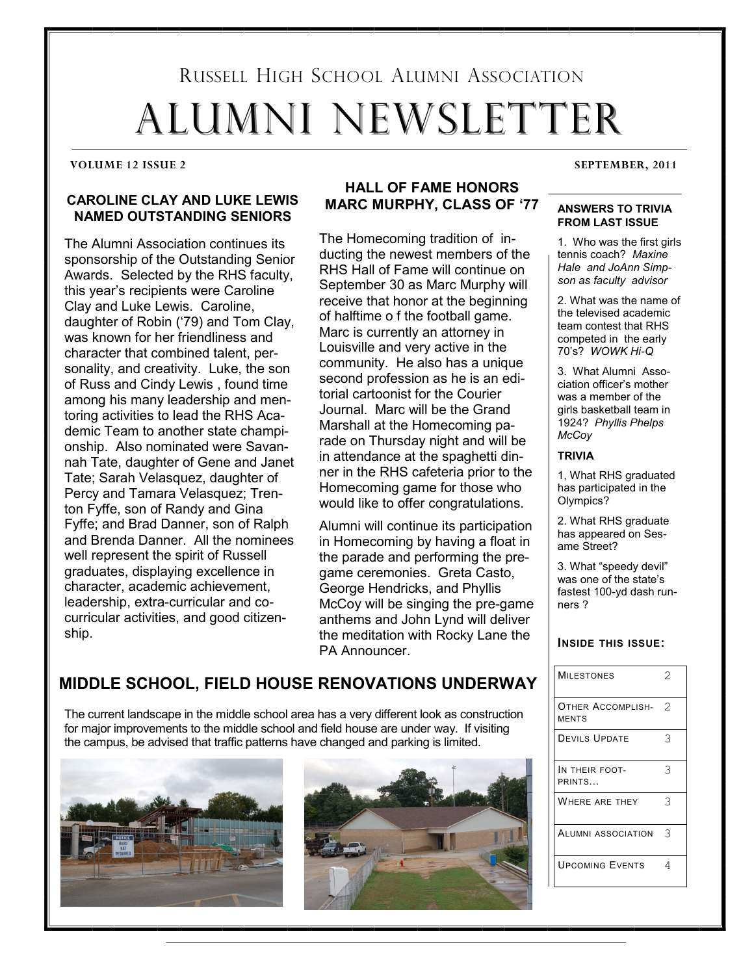# RUSSELL HIGH SCHOOL ALUMNI ASSOCIATION ALUMNI NEWSLETTER ALUMNI NEWSLETTER

#### **VOLUME 12 ISSUE 2 SEPTEMBER, 2011**

#### **CAROLINE CLAY AND LUKE LEWIS NAMED OUTSTANDING SENIORS**

The Alumni Association continues its sponsorship of the Outstanding Senior Awards. Selected by the RHS faculty, this year's recipients were Caroline Clay and Luke Lewis. Caroline. daughter of Robin ('79) and Tom Clay, was known for her friendliness and character that combined talent, personality, and creativity. Luke, the son of Russ and Cindy Lewis, found time among his many leadership and mentoring activities to lead the RHS Academic Team to another state championship. Also nominated were Savannah Tate, daughter of Gene and Janet Tate; Sarah Velasquez, daughter of Percy and Tamara Velasquez; Trenton Fyffe, son of Randy and Gina Fyffe; and Brad Danner, son of Ralph and Brenda Danner. All the nominees well represent the spirit of Russell graduates, displaying excellence in character, academic achievement, leadership, extra-curricular and cocurricular activities, and good citizenship.

#### **HALL OF FAME HONORS MARC MURPHY. CLASS OF '77**

The Homecoming tradition of inducting the newest members of the RHS Hall of Fame will continue on September 30 as Marc Murphy will receive that honor at the beginning of halftime o f the football game. Marc is currently an attorney in Louisville and very active in the community. He also has a unique second profession as he is an editorial cartoonist for the Courier Journal. Marc will be the Grand. Marshall at the Homecoming parade on Thursday night and will be in attendance at the spaghetti dinner in the RHS cafeteria prior to the Homecoming game for those who would like to offer congratulations.

Alumni will continue its participation in Homecoming by having a float in the parade and performing the pregame ceremonies. Greta Casto, George Hendricks, and Phyllis McCoy will be singing the pre-game anthems and John Lynd will deliver the meditation with Rocky Lane the PA Announcer.

#### **ANSWERS TO TRIVIA FROM LAST ISSUE**

1. Who was the first girls tennis coach? Maxine *Hale!!and!JoAnn!Simp1 son!as!faculty!!advisor*

2. What was the name of the televised academic team contest that RHS competed in the early 70's? WOWK Hi-Q

3. What Alumni Association officer's mother was a member of the girls basketball team in 1924?\$\$*Phyllis!Phelps! McCoy*

#### **TRIVIA**

1, What RHS graduated has participated in the Olympics?

2. What RHS graduate has appeared on Sesame Street?

3. What "speedy devil" was one of the state's fastest 100-yd dash runners ?

#### **INSIDE THIS ISSUE:**

|  | <b>MILESTONES</b>                 | 2 |
|--|-----------------------------------|---|
|  | OTHER ACCOMPLISH-<br><b>MENTS</b> | 2 |
|  | <b>DEVILS UPDATE</b>              | 3 |
|  | IN THEIR FOOT-<br>PRINTS          | 3 |
|  | WHERE ARE THEY                    | 3 |
|  | ALUMNI ASSOCIATION                | 3 |
|  | <b>UPCOMING EVENTS</b>            | 4 |

### **MIDDLE SCHOOL, FIELD HOUSE RENOVATIONS UNDERWAY**

The current landscape in the middle school area has a very different look as construction for major improvements to the middle school and field house are under way. If visiting the campus, be advised that traffic patterns have changed and parking is limited.



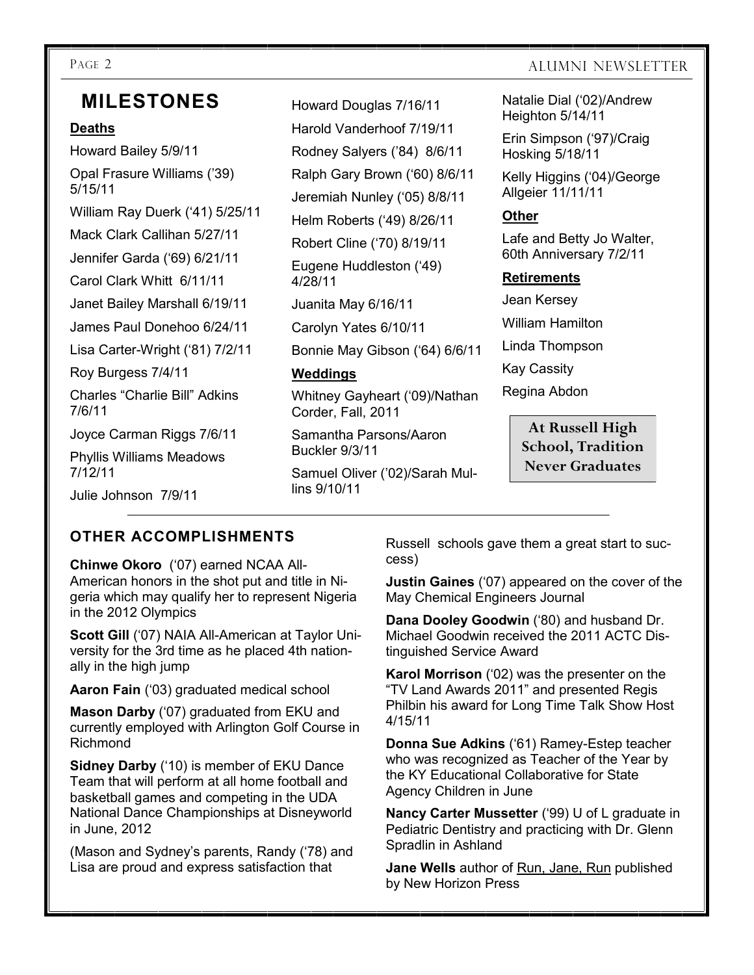## **MILESTONES**

#### **Deaths**

Howard Bailey 5/9/11 Opal Frasure Williams ('39) 5/15/11 William Ray Duerk ('41) 5/25/11 Mack Clark Callihan 5/27/11 Jennifer Garda ('69) 6/21/11 Carol Clark Whitt 6/11/11 Janet Bailey Marshall 6/19/11 James Paul Donehoo 6/24/11 Lisa Carter-Wright ('81) 7/2/11 Roy Burgess 7/4/11 Charles "Charlie Bill" Adkins 7/6/11 Joyce Carman Riggs 7/6/11 Phyllis Williams Meadows 7/12/11 Julie Johnson 7/9/11

Howard Douglas 7/16/11 Harold Vanderhoof 7/19/11 Rodney Salyers ('84) 8/6/11 Ralph Gary Brown ('60) 8/6/11 Jeremiah Nunley ('05) 8/8/11 Helm Roberts ('49) 8/26/11 Robert Cline ('70) 8/19/11 Eugene Huddleston ('49) 4/28/11 Juanita May 6/16/11 Carolyn Yates 6/10/11 Bonnie May Gibson ('64) 6/6/11 **Weddings** Whitney Gayheart ('09)/Nathan Corder, Fall, 2011 Samantha Parsons/Aaron

Samuel Oliver ('02)/Sarah Mullins  $9/10/11$ 

Buckler 9/3/11

#### PAGE 2 ALUMNI NEWSLETTER

Natalie Dial ('02)/Andrew Heighton 5/14/11

Erin Simpson ('97)/Craig Hosking 5/18/11

Kelly Higgins ('04)/George Allgeier\$11/11/11

#### **Other**

Lafe and Betty Jo Walter, 60th Anniversary 7/2/11

#### **Retirements**

Jean Kersey William Hamilton Linda\$Thompson **Kay Cassity** Regina Abdon

> **At Russell High School, Tradition Never Graduates**

#### **OTHER)ACCOMPLISHMENTS**

**Chinwe Okoro** ('07) earned NCAA All-American honors in the shot put and title in Nigeria which may qualify her to represent Nigeria in the 2012 Olympics

**Scott Gill** ('07) NAIA All-American at Taylor University for the 3rd time as he placed 4th nationally in the high jump

**Aaron Fain** ('03) graduated medical school

**Mason Darby** ('07) graduated from EKU and currently employed with Arlington Golf Course in Richmond\$

**Sidney Darby** ('10) is member of EKU Dance Team that will perform at all home football and basketball games and competing in the UDA National Dance Championships at Disneyworld in June,  $2012$ 

(Mason and Sydney's parents, Randy ('78) and Lisa are proud and express satisfaction that

Russell schools gave them a great start to success)

**Justin Gaines** ('07) appeared on the cover of the May Chemical Engineers Journal

**Dana Dooley Goodwin** ('80) and husband Dr. Michael Goodwin received the 2011 ACTC Distinguished Service Award

**Karol Morrison** ('02) was the presenter on the "TV Land Awards 2011" and presented Regis Philbin his award for Long Time Talk Show Host 4/15/11

**Donna Sue Adkins** ('61) Ramey-Estep teacher who was recognized as Teacher of the Year by the KY Educational Collaborative for State Agency Children in June

**Nancy Carter Mussetter** ('99) U of L graduate in Pediatric Dentistry and practicing with Dr. Glenn Spradlin in Ashland

**Jane Wells** author of Run, Jane, Run published by New Horizon Press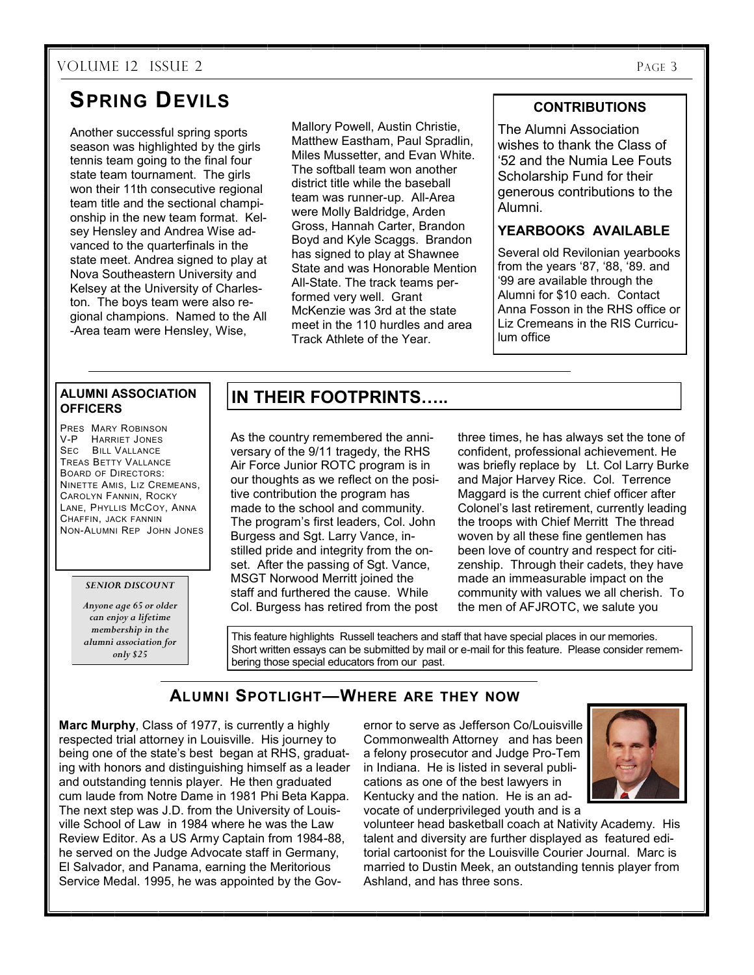#### VOLUME 12 ISSUE 2 PAGE 3

# **SPRING DEVILS**

Another successful spring sports season was highlighted by the girls tennis team going to the final four state team tournament. The girls won their 11th consecutive regional team title and the sectional championship in the new team format. Kelsey Hensley and Andrea Wise advanced to the quarterfinals in the state meet. Andrea signed to play at Nova Southeastern University and Kelsey at the University of Charleston. The boys team were also regional champions. Named to the All -Area team were Hensley, Wise,

Mallory Powell, Austin Christie, Matthew Eastham, Paul Spradlin, Miles Mussetter, and Evan White. The softball team won another district title while the baseball team was runner-up. All-Area were Molly Baldridge, Arden Gross, Hannah Carter, Brandon Boyd and Kyle Scaggs. Brandon has signed to play at Shawnee State and was Honorable Mention All-State. The track teams performed very well. Grant McKenzie was 3rd at the state meet in the 110 hurdles and area Track Athlete of the Year.

#### **CONTRIBUTIONS**

The Alumni Association wishes to thank the Class of '52 and the Numia Lee Fouts Scholarship Fund for their generous contributions to the Alumni.\$\$

#### **YEARBOOKS AVAILABLE**

Several old Revilonian yearbooks from the years '87, '88, '89, and '99 are available through the Alumni for \$10 each. Contact Anna Fosson in the RHS office or Liz Cremeans in the RIS Curriculum office

#### **ALUMNI ASSOCIATION OFFICERS**

PRES MARY ROBINSON V-P HARRIET JONES SEC BILL VALLANCE TREAS BETTY VALLANCE BOARD OF DIRECTORS: NINETTE AMIS, LIZ CREMEANS. **CAROLYN FANNIN, ROCKY** LANE, PHYLLIS MCCOY, ANNA CHAFFIN, JACK FANNIN NON-ALUMNI REP JOHN JONES

#### *SENIOR DISCOUNT*

*Anyone age 65 or older can enjoy a lifetime membership in the alumni association for only \$25*

#### **IN THEIR FOOTPRINTS.....**

As the country remembered the anniversary of the 9/11 tragedy, the RHS Air Force Junior ROTC program is in our thoughts as we reflect on the positive contribution the program has made to the school and community. The program's first leaders, Col. John Burgess and Sgt. Larry Vance, instilled pride and integrity from the onset. After the passing of Sgt. Vance, MSGT Norwood Merritt joined the staff and furthered the cause. While Col. Burgess has retired from the post

three times, he has always set the tone of confident, professional achievement. He was briefly replace by Lt. Col Larry Burke and Major Harvey Rice. Col. Terrence Maggard is the current chief officer after Colonel's last retirement, currently leading the troops with Chief Merritt The thread woven by all these fine gentlemen has been love of country and respect for citizenship. Through their cadets, they have made an immeasurable impact on the community with values we all cherish. To the men of AFJROTC, we salute you

This feature highlights Russell teachers and staff that have special places in our memories. Short written essays can be submitted by mail or e-mail for this feature. Please consider remembering those special educators from our past.

#### **ALUMNI SPOTLIGHT²WHERE ARE THEY NOW**

**Marc Murphy**, Class of 1977, is currently a highly respected trial attorney in Louisville. His journey to being one of the state's best began at RHS, graduating with honors and distinguishing himself as a leader and outstanding tennis player. He then graduated cum laude from Notre Dame in 1981 Phi Beta Kappa. The next step was J.D. from the University of Louisville School of Law in 1984 where he was the Law Review Editor. As a US Army Captain from 1984-88, he served on the Judge Advocate staff in Germany, El Salvador, and Panama, earning the Meritorious Service Medal. 1995, he was appointed by the Gov-

ernor to serve as Jefferson Co/Louisville Commonwealth Attorney and has been a felony prosecutor and Judge Pro-Tem in Indiana. He is listed in several publications as one of the best lawyers in Kentucky and the nation. He is an advocate of underprivileged youth and is a



volunteer head basketball coach at Nativity Academy. His talent and diversity are further displayed as featured editorial cartoonist for the Louisville Courier Journal. Marc is married to Dustin Meek, an outstanding tennis player from Ashland, and has three sons.